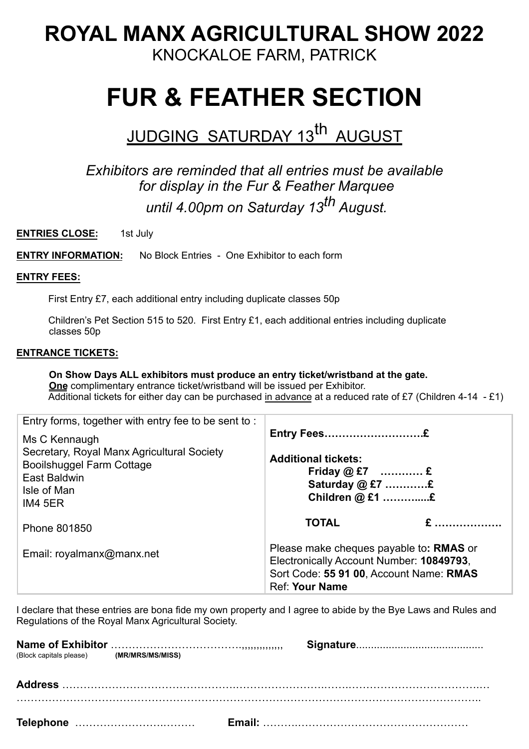# **ROYAL MANX AGRICULTURAL SHOW 2022** KNOCKALOE FARM, PATRICK

# **FUR & FEATHER SECTION**

# JUDGING SATURDAY 13<sup>th</sup> AUGUST

## *Exhibitors are reminded that all entries must be available for display in the Fur & Feather Marquee until 4.00pm on Saturday 13th August.*

**ENTRIES CLOSE:** 1st July

**ENTRY INFORMATION:** No Block Entries - One Exhibitor to each form

### **ENTRY FEES:**

First Entry £7, each additional entry including duplicate classes 50p

Children's Pet Section 515 to 520. First Entry £1, each additional entries including duplicate classes 50p

### **ENTRANCE TICKETS:**

 **On Show Days ALL exhibitors must produce an entry ticket/wristband at the gate. One** complimentary entrance ticket/wristband will be issued per Exhibitor. Additional tickets for either day can be purchased in advance at a reduced rate of £7 (Children 4-14 - £1)

| Entry forms, together with entry fee to be sent to:                                                                                       |                                                                                                                                                         |  |  |  |
|-------------------------------------------------------------------------------------------------------------------------------------------|---------------------------------------------------------------------------------------------------------------------------------------------------------|--|--|--|
| Ms C Kennaugh<br>Secretary, Royal Manx Agricultural Society<br><b>Booilshuggel Farm Cottage</b><br>East Baldwin<br>Isle of Man<br>IM4 5ER | <b>Additional tickets:</b><br>Friday $@E7$ £<br>Saturday $@E7$ £<br>Children @ £1 £                                                                     |  |  |  |
| Phone 801850                                                                                                                              | <b>TOTAL</b>                                                                                                                                            |  |  |  |
| Email: royalmanx@manx.net                                                                                                                 | Please make cheques payable to: RMAS or<br>Electronically Account Number: 10849793,<br>Sort Code: 55 91 00, Account Name: RMAS<br><b>Ref: Your Name</b> |  |  |  |

I declare that these entries are bona fide my own property and I agree to abide by the Bye Laws and Rules and Regulations of the Royal Manx Agricultural Society.

| (Block capitals please) (MR/MRS/MS/MISS) |  |  |
|------------------------------------------|--|--|
|                                          |  |  |
|                                          |  |  |